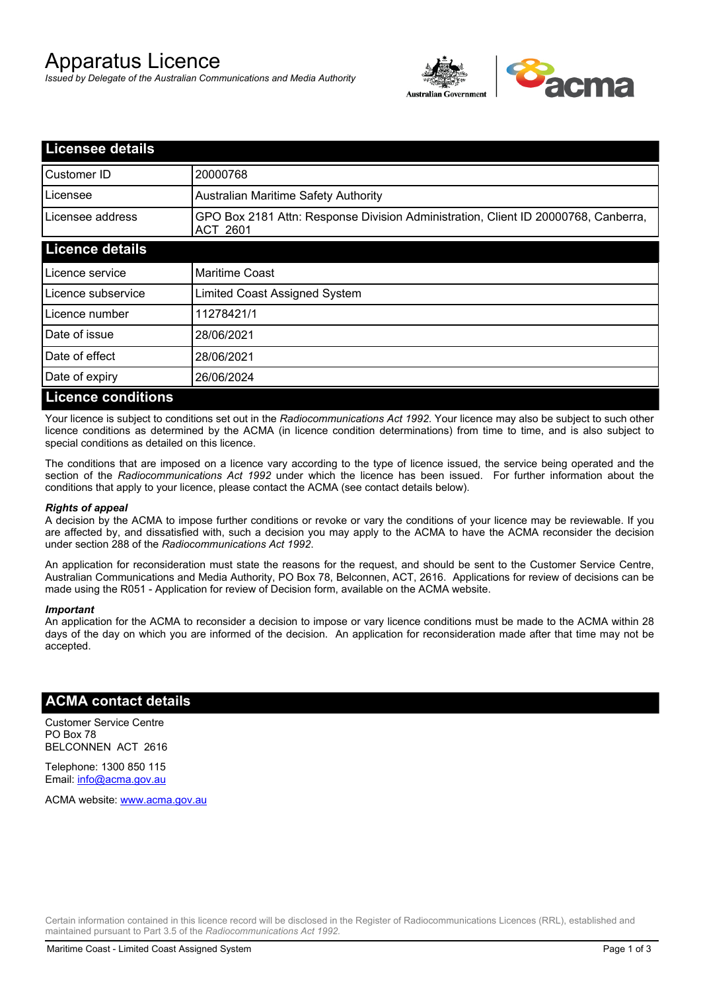# Apparatus Licence

*Issued by Delegate of the Australian Communications and Media Authority*



| <b>Licensee details</b>   |                                                                                                       |
|---------------------------|-------------------------------------------------------------------------------------------------------|
| Customer ID               | 20000768                                                                                              |
| Licensee                  | <b>Australian Maritime Safety Authority</b>                                                           |
| Licensee address          | GPO Box 2181 Attn: Response Division Administration, Client ID 20000768, Canberra,<br><b>ACT 2601</b> |
| <b>Licence details</b>    |                                                                                                       |
| Licence service           | <b>Maritime Coast</b>                                                                                 |
| Licence subservice        | Limited Coast Assigned System                                                                         |
| Licence number            | 11278421/1                                                                                            |
| Date of issue             | 28/06/2021                                                                                            |
| Date of effect            | 28/06/2021                                                                                            |
| Date of expiry            | 26/06/2024                                                                                            |
| <b>Licence conditions</b> |                                                                                                       |

Your licence is subject to conditions set out in the *Radiocommunications Act 1992*. Your licence may also be subject to such other licence conditions as determined by the ACMA (in licence condition determinations) from time to time, and is also subject to special conditions as detailed on this licence.

The conditions that are imposed on a licence vary according to the type of licence issued, the service being operated and the section of the *Radiocommunications Act 1992* under which the licence has been issued. For further information about the conditions that apply to your licence, please contact the ACMA (see contact details below).

#### *Rights of appeal*

A decision by the ACMA to impose further conditions or revoke or vary the conditions of your licence may be reviewable. If you are affected by, and dissatisfied with, such a decision you may apply to the ACMA to have the ACMA reconsider the decision under section 288 of the *Radiocommunications Act 1992*.

An application for reconsideration must state the reasons for the request, and should be sent to the Customer Service Centre, Australian Communications and Media Authority, PO Box 78, Belconnen, ACT, 2616. Applications for review of decisions can be made using the R051 - Application for review of Decision form, available on the ACMA website.

#### *Important*

An application for the ACMA to reconsider a decision to impose or vary licence conditions must be made to the ACMA within 28 days of the day on which you are informed of the decision. An application for reconsideration made after that time may not be accepted.

### **ACMA contact details**

Customer Service Centre PO Box 78 BELCONNEN ACT 2616

Telephone: 1300 850 115 Email: info@acma.gov.au

ACMA website: www.acma.gov.au

Certain information contained in this licence record will be disclosed in the Register of Radiocommunications Licences (RRL), established and maintained pursuant to Part 3.5 of the *Radiocommunications Act 1992.*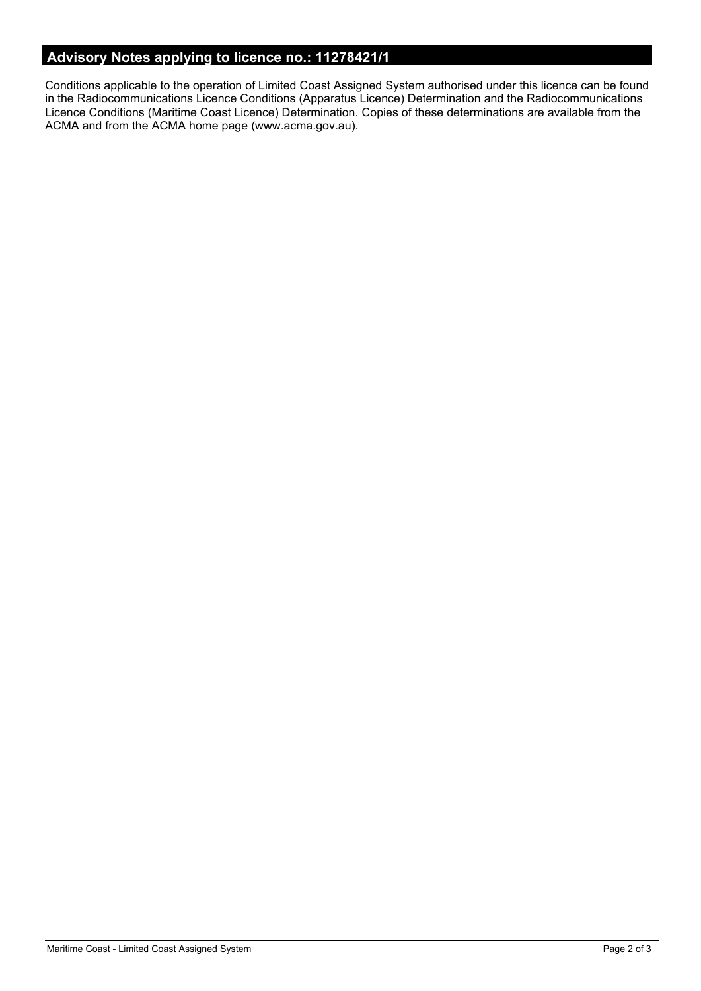# **Advisory Notes applying to licence no.: 11278421/1**

Conditions applicable to the operation of Limited Coast Assigned System authorised under this licence can be found in the Radiocommunications Licence Conditions (Apparatus Licence) Determination and the Radiocommunications Licence Conditions (Maritime Coast Licence) Determination. Copies of these determinations are available from the ACMA and from the ACMA home page (www.acma.gov.au).